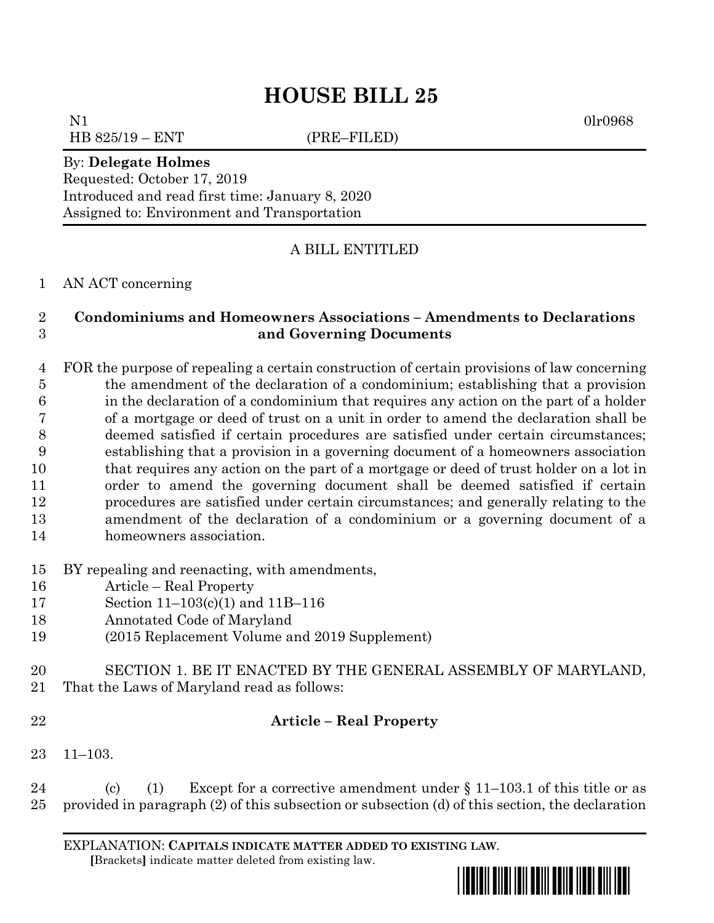# **HOUSE BILL 25**

N1 0lr0968 HB 825/19 – ENT (PRE–FILED)

#### By: **Delegate Holmes**

Requested: October 17, 2019 Introduced and read first time: January 8, 2020 Assigned to: Environment and Transportation

### A BILL ENTITLED

AN ACT concerning

### **Condominiums and Homeowners Associations – Amendments to Declarations and Governing Documents**

 FOR the purpose of repealing a certain construction of certain provisions of law concerning the amendment of the declaration of a condominium; establishing that a provision in the declaration of a condominium that requires any action on the part of a holder of a mortgage or deed of trust on a unit in order to amend the declaration shall be deemed satisfied if certain procedures are satisfied under certain circumstances; establishing that a provision in a governing document of a homeowners association that requires any action on the part of a mortgage or deed of trust holder on a lot in order to amend the governing document shall be deemed satisfied if certain procedures are satisfied under certain circumstances; and generally relating to the amendment of the declaration of a condominium or a governing document of a homeowners association.

- BY repealing and reenacting, with amendments,
- Article Real Property
- Section 11–103(c)(1) and 11B–116
- Annotated Code of Maryland
- (2015 Replacement Volume and 2019 Supplement)
- SECTION 1. BE IT ENACTED BY THE GENERAL ASSEMBLY OF MARYLAND, That the Laws of Maryland read as follows:
- 

### **Article – Real Property**

11–103.

24 (c) (1) Except for a corrective amendment under  $\S 11-103.1$  of this title or as provided in paragraph (2) of this subsection or subsection (d) of this section, the declaration

EXPLANATION: **CAPITALS INDICATE MATTER ADDED TO EXISTING LAW**.  **[**Brackets**]** indicate matter deleted from existing law.

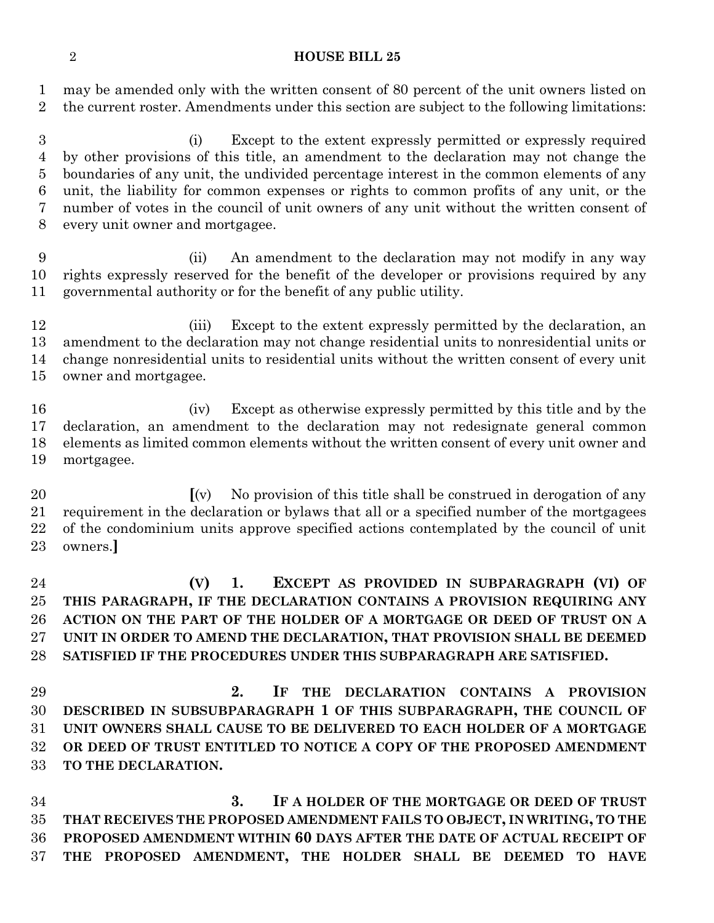#### **HOUSE BILL 25**

 may be amended only with the written consent of 80 percent of the unit owners listed on the current roster. Amendments under this section are subject to the following limitations:

 (i) Except to the extent expressly permitted or expressly required by other provisions of this title, an amendment to the declaration may not change the boundaries of any unit, the undivided percentage interest in the common elements of any unit, the liability for common expenses or rights to common profits of any unit, or the number of votes in the council of unit owners of any unit without the written consent of every unit owner and mortgagee.

 (ii) An amendment to the declaration may not modify in any way rights expressly reserved for the benefit of the developer or provisions required by any governmental authority or for the benefit of any public utility.

12 (iii) Except to the extent expressly permitted by the declaration, an amendment to the declaration may not change residential units to nonresidential units or change nonresidential units to residential units without the written consent of every unit owner and mortgagee.

 (iv) Except as otherwise expressly permitted by this title and by the declaration, an amendment to the declaration may not redesignate general common elements as limited common elements without the written consent of every unit owner and mortgagee.

 **[**(v) No provision of this title shall be construed in derogation of any requirement in the declaration or bylaws that all or a specified number of the mortgagees of the condominium units approve specified actions contemplated by the council of unit owners.**]**

 **(V) 1. EXCEPT AS PROVIDED IN SUBPARAGRAPH (VI) OF THIS PARAGRAPH, IF THE DECLARATION CONTAINS A PROVISION REQUIRING ANY ACTION ON THE PART OF THE HOLDER OF A MORTGAGE OR DEED OF TRUST ON A UNIT IN ORDER TO AMEND THE DECLARATION, THAT PROVISION SHALL BE DEEMED SATISFIED IF THE PROCEDURES UNDER THIS SUBPARAGRAPH ARE SATISFIED.**

 **2. IF THE DECLARATION CONTAINS A PROVISION DESCRIBED IN SUBSUBPARAGRAPH 1 OF THIS SUBPARAGRAPH, THE COUNCIL OF UNIT OWNERS SHALL CAUSE TO BE DELIVERED TO EACH HOLDER OF A MORTGAGE OR DEED OF TRUST ENTITLED TO NOTICE A COPY OF THE PROPOSED AMENDMENT TO THE DECLARATION.**

 **3. IF A HOLDER OF THE MORTGAGE OR DEED OF TRUST THAT RECEIVES THE PROPOSED AMENDMENT FAILS TO OBJECT, IN WRITING, TO THE PROPOSED AMENDMENT WITHIN 60 DAYS AFTER THE DATE OF ACTUAL RECEIPT OF THE PROPOSED AMENDMENT, THE HOLDER SHALL BE DEEMED TO HAVE**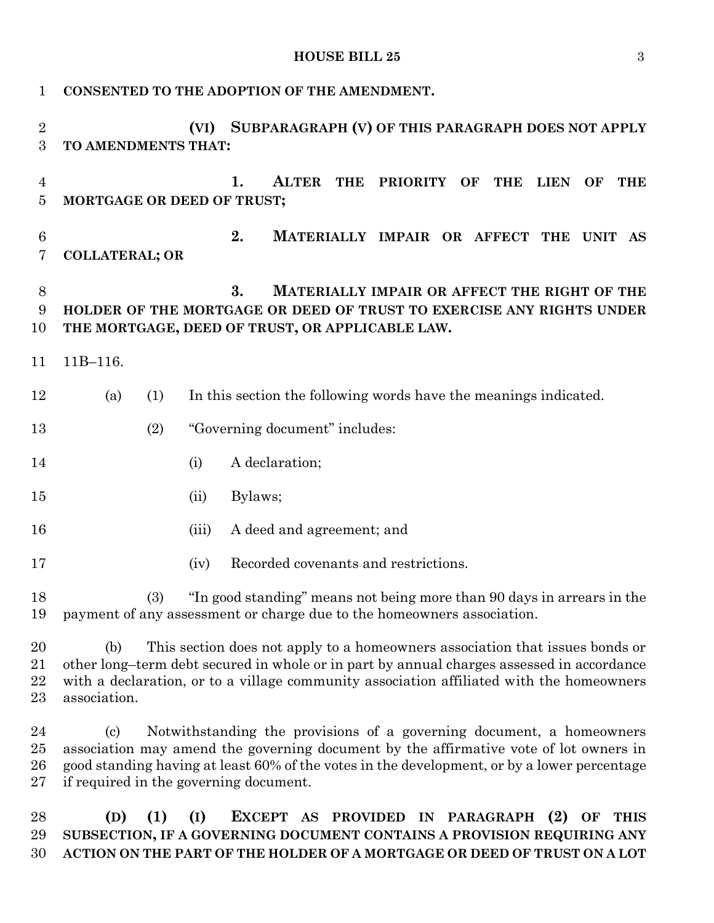**HOUSE BILL 25** 3

| 1                     | CONSENTED TO THE ADOPTION OF THE AMENDMENT.                                                                                                                                                                                                                                                                                          |       |                                                                                                                                                                               |
|-----------------------|--------------------------------------------------------------------------------------------------------------------------------------------------------------------------------------------------------------------------------------------------------------------------------------------------------------------------------------|-------|-------------------------------------------------------------------------------------------------------------------------------------------------------------------------------|
| $\overline{2}$<br>3   | TO AMENDMENTS THAT:                                                                                                                                                                                                                                                                                                                  | (VI)  | SUBPARAGRAPH (V) OF THIS PARAGRAPH DOES NOT APPLY                                                                                                                             |
| 4<br>$\overline{5}$   | MORTGAGE OR DEED OF TRUST;                                                                                                                                                                                                                                                                                                           |       | <b>ALTER</b><br>1.<br><b>THE</b><br><b>PRIORITY</b><br>OF<br><b>THE</b><br><b>LIEN</b><br><b>OF</b><br><b>THE</b>                                                             |
| $\boldsymbol{6}$<br>7 | <b>COLLATERAL; OR</b>                                                                                                                                                                                                                                                                                                                |       | 2.<br>MATERIALLY IMPAIR OR AFFECT THE UNIT AS                                                                                                                                 |
| $8\,$<br>9<br>10      |                                                                                                                                                                                                                                                                                                                                      |       | 3.<br>MATERIALLY IMPAIR OR AFFECT THE RIGHT OF THE<br>HOLDER OF THE MORTGAGE OR DEED OF TRUST TO EXERCISE ANY RIGHTS UNDER<br>THE MORTGAGE, DEED OF TRUST, OR APPLICABLE LAW. |
| 11                    | $11B-116.$                                                                                                                                                                                                                                                                                                                           |       |                                                                                                                                                                               |
| 12                    | (1)<br>(a)                                                                                                                                                                                                                                                                                                                           |       | In this section the following words have the meanings indicated.                                                                                                              |
| 13                    | (2)                                                                                                                                                                                                                                                                                                                                  |       | "Governing document" includes:                                                                                                                                                |
| 14                    |                                                                                                                                                                                                                                                                                                                                      | (i)   | A declaration;                                                                                                                                                                |
| 15                    |                                                                                                                                                                                                                                                                                                                                      | (ii)  | Bylaws;                                                                                                                                                                       |
| 16                    |                                                                                                                                                                                                                                                                                                                                      | (iii) | A deed and agreement; and                                                                                                                                                     |
| 17                    |                                                                                                                                                                                                                                                                                                                                      | (iv)  | Recorded covenants and restrictions.                                                                                                                                          |
| 18<br>19              | "In good standing" means not being more than 90 days in arrears in the<br>(3)<br>payment of any assessment or charge due to the homeowners association.                                                                                                                                                                              |       |                                                                                                                                                                               |
| 20<br>21<br>22<br>23  | This section does not apply to a homeowners association that issues bonds or<br>(b)<br>other long-term debt secured in whole or in part by annual charges assessed in accordance<br>with a declaration, or to a village community association affiliated with the homeowners<br>association.                                         |       |                                                                                                                                                                               |
| 24<br>25<br>26<br>27  | Notwithstanding the provisions of a governing document, a homeowners<br>$\left( \mathrm{c}\right)$<br>association may amend the governing document by the affirmative vote of lot owners in<br>good standing having at least 60% of the votes in the development, or by a lower percentage<br>if required in the governing document. |       |                                                                                                                                                                               |

## **(D) (1) (I) EXCEPT AS PROVIDED IN PARAGRAPH (2) OF THIS SUBSECTION, IF A GOVERNING DOCUMENT CONTAINS A PROVISION REQUIRING ANY ACTION ON THE PART OF THE HOLDER OF A MORTGAGE OR DEED OF TRUST ON A LOT**